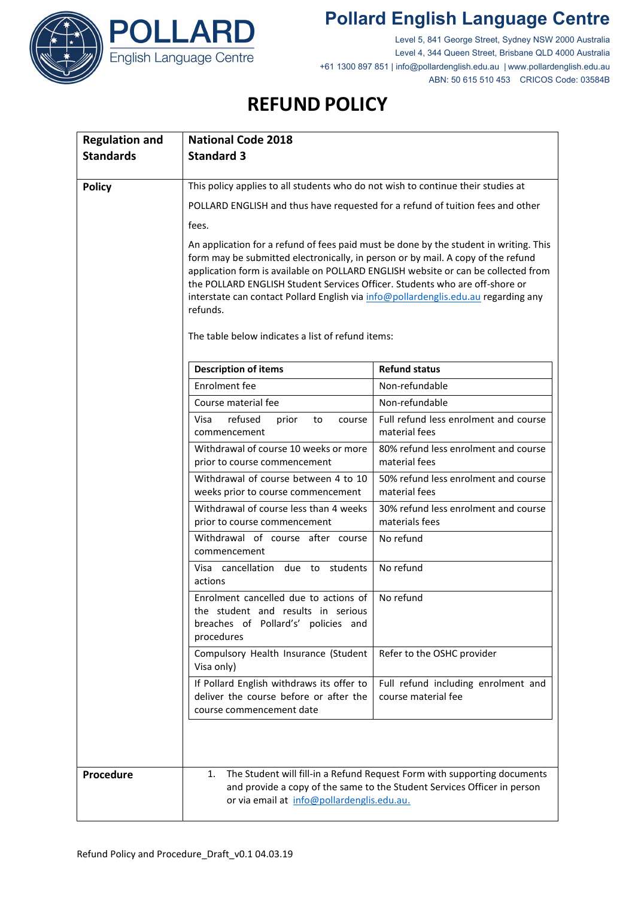

## **Pollard English Language Centre**

Level 5, 841 George Street, Sydney NSW 2000 Australia Level 4, 344 Queen Street, Brisbane QLD 4000 Australia +61 1300 897 851 | info@pollardenglish.edu.au | www.pollardenglish.edu.au ABN: 50 615 510 453 CRICOS Code: 03584B

## **REFUND POLICY**

ARD

| <b>Regulation and</b> | <b>National Code 2018</b>                                                                                                                                                                                                                                                                                                                                                                                                                       |                                                            |
|-----------------------|-------------------------------------------------------------------------------------------------------------------------------------------------------------------------------------------------------------------------------------------------------------------------------------------------------------------------------------------------------------------------------------------------------------------------------------------------|------------------------------------------------------------|
| <b>Standards</b>      | <b>Standard 3</b>                                                                                                                                                                                                                                                                                                                                                                                                                               |                                                            |
|                       |                                                                                                                                                                                                                                                                                                                                                                                                                                                 |                                                            |
| <b>Policy</b>         | This policy applies to all students who do not wish to continue their studies at<br>POLLARD ENGLISH and thus have requested for a refund of tuition fees and other                                                                                                                                                                                                                                                                              |                                                            |
|                       |                                                                                                                                                                                                                                                                                                                                                                                                                                                 |                                                            |
|                       | fees.                                                                                                                                                                                                                                                                                                                                                                                                                                           |                                                            |
|                       | An application for a refund of fees paid must be done by the student in writing. This<br>form may be submitted electronically, in person or by mail. A copy of the refund<br>application form is available on POLLARD ENGLISH website or can be collected from<br>the POLLARD ENGLISH Student Services Officer. Students who are off-shore or<br>interstate can contact Pollard English via info@pollardenglis.edu.au regarding any<br>refunds. |                                                            |
|                       | The table below indicates a list of refund items:                                                                                                                                                                                                                                                                                                                                                                                               |                                                            |
|                       | <b>Description of items</b>                                                                                                                                                                                                                                                                                                                                                                                                                     | <b>Refund status</b>                                       |
|                       | Enrolment fee                                                                                                                                                                                                                                                                                                                                                                                                                                   | Non-refundable                                             |
|                       | Course material fee                                                                                                                                                                                                                                                                                                                                                                                                                             | Non-refundable                                             |
|                       | refused<br>Visa<br>prior<br>to<br>course<br>commencement                                                                                                                                                                                                                                                                                                                                                                                        | Full refund less enrolment and course<br>material fees     |
|                       | Withdrawal of course 10 weeks or more<br>prior to course commencement                                                                                                                                                                                                                                                                                                                                                                           | 80% refund less enrolment and course<br>material fees      |
|                       | Withdrawal of course between 4 to 10<br>weeks prior to course commencement                                                                                                                                                                                                                                                                                                                                                                      | 50% refund less enrolment and course<br>material fees      |
|                       | Withdrawal of course less than 4 weeks<br>prior to course commencement                                                                                                                                                                                                                                                                                                                                                                          | 30% refund less enrolment and course<br>materials fees     |
|                       | Withdrawal of course after course<br>commencement                                                                                                                                                                                                                                                                                                                                                                                               | No refund                                                  |
|                       | Visa cancellation due to students<br>actions                                                                                                                                                                                                                                                                                                                                                                                                    | No refund                                                  |
|                       | Enrolment cancelled due to actions of<br>the student and results in serious<br>breaches of Pollard's' policies and<br>procedures                                                                                                                                                                                                                                                                                                                | No refund                                                  |
|                       | Compulsory Health Insurance (Student<br>Visa only)                                                                                                                                                                                                                                                                                                                                                                                              | Refer to the OSHC provider                                 |
|                       | If Pollard English withdraws its offer to<br>deliver the course before or after the<br>course commencement date                                                                                                                                                                                                                                                                                                                                 | Full refund including enrolment and<br>course material fee |
|                       |                                                                                                                                                                                                                                                                                                                                                                                                                                                 |                                                            |
| Procedure             | The Student will fill-in a Refund Request Form with supporting documents<br>1.<br>and provide a copy of the same to the Student Services Officer in person<br>or via email at info@pollardenglis.edu.au.                                                                                                                                                                                                                                        |                                                            |